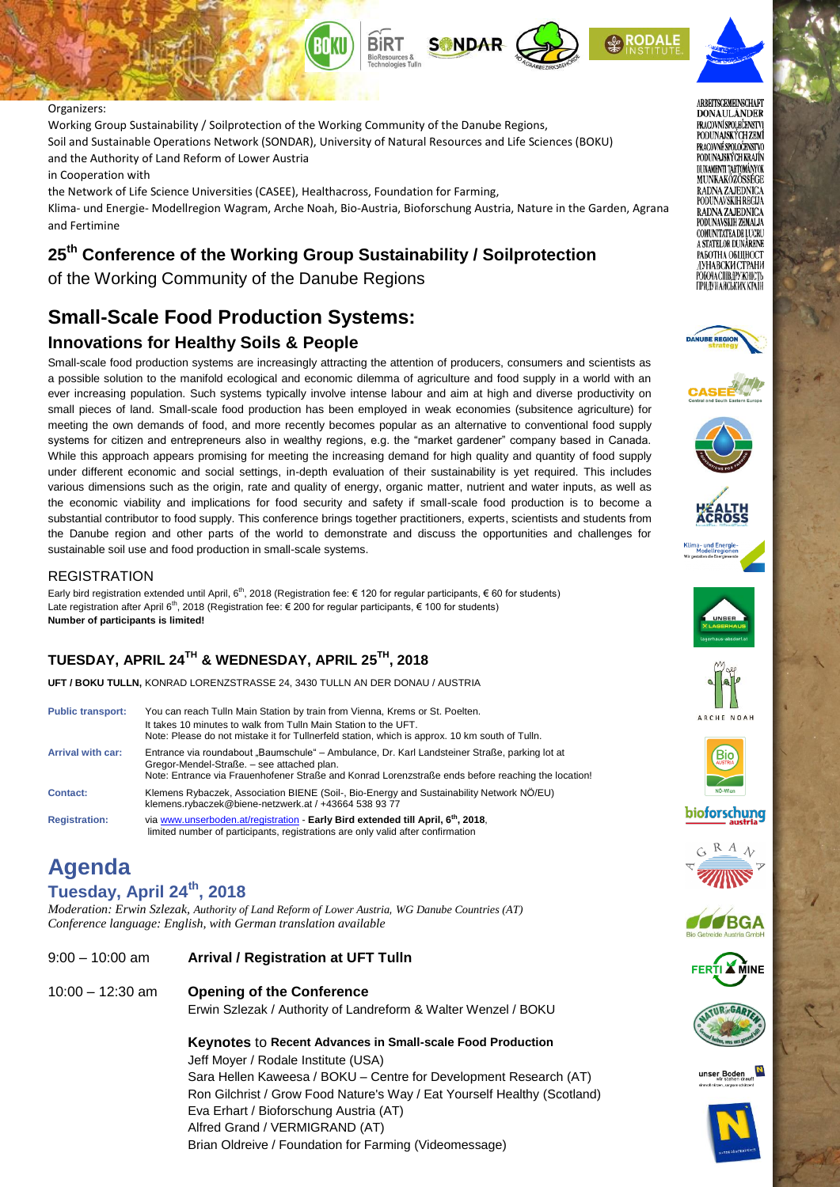

#### Organizers:

**DRY** 

Working Group Sustainability / Soilprotection of the Working Community of the Danube Regions, Soil and Sustainable Operations Network (SONDAR), University of Natural Resources and Life Sciences (BOKU) and the Authority of Land Reform of Lower Austria

in Cooperation with

the Network of Life Science Universities (CASEE), Healthacross, Foundation for Farming, Klima- und Energie- Modellregion Wagram, Arche Noah, Bio-Austria, Bioforschung Austria, Nature in the Garden, Agrana and Fertimine

# **25th Conference of the Working Group Sustainability / Soilprotection**

of the Working Community of the Danube Regions

# **Small-Scale Food Production Systems:**

### **Innovations for Healthy Soils & People**

Small-scale food production systems are increasingly attracting the attention of producers, consumers and scientists as a possible solution to the manifold ecological and economic dilemma of agriculture and food supply in a world with an ever increasing population. Such systems typically involve intense labour and aim at high and diverse productivity on small pieces of land. Small-scale food production has been employed in weak economies (subsitence agriculture) for meeting the own demands of food, and more recently becomes popular as an alternative to conventional food supply systems for citizen and entrepreneurs also in wealthy regions, e.g. the "market gardener" company based in Canada. While this approach appears promising for meeting the increasing demand for high quality and quantity of food supply under different economic and social settings, in-depth evaluation of their sustainability is yet required. This includes various dimensions such as the origin, rate and quality of energy, organic matter, nutrient and water inputs, as well as the economic viability and implications for food security and safety if small-scale food production is to become a substantial contributor to food supply. This conference brings together practitioners, experts, scientists and students from the Danube region and other parts of the world to demonstrate and discuss the opportunities and challenges for sustainable soil use and food production in small-scale systems.

#### **REGISTRATION**

Early bird registration extended until April, 6<sup>th</sup>, 2018 (Registration fee: € 120 for regular participants, € 60 for students) Late registration after April 6<sup>th</sup>, 2018 (Registration fee: € 200 for regular participants, € 100 for students) **Number of participants is limited!**

## **TUESDAY, APRIL 24TH & WEDNESDAY, APRIL 25 TH, 2018**

**UFT / BOKU TULLN,** KONRAD LORENZSTRASSE 24, 3430 TULLN AN DER DONAU / AUSTRIA

| <b>Public transport:</b> | You can reach Tulln Main Station by train from Vienna, Krems or St. Poelten.<br>It takes 10 minutes to walk from Tulln Main Station to the UFT.<br>Note: Please do not mistake it for Tullnerfeld station, which is approx. 10 km south of Tulln. |
|--------------------------|---------------------------------------------------------------------------------------------------------------------------------------------------------------------------------------------------------------------------------------------------|
| <b>Arrival with car:</b> | Entrance via roundabout "Baumschule" – Ambulance, Dr. Karl Landsteiner Straße, parking lot at<br>Gregor-Mendel-Straße. - see attached plan.<br>Note: Entrance via Frauenhofener Straße and Konrad Lorenzstraße ends before reaching the location! |
| <b>Contact:</b>          | Klemens Rybaczek, Association BIENE (Soil-, Bio-Energy and Sustainability Network NÖ/EU)<br>klemens.rybaczek@biene-netzwerk.at / +43664 538 93 77                                                                                                 |
| <b>Registration:</b>     | via www.unserboden.at/registration - Early Bird extended till April, 6 <sup>th</sup> , 2018,<br>limited number of participants, registrations are only valid after confirmation                                                                   |

# **Agenda**

#### **Tuesday, April 24th, 2018**

*Moderation: Erwin Szlezak, Authority of Land Reform of Lower Austria, WG Danube Countries (AT) Conference language: English, with German translation available*

- 9:00 10:00 am **Arrival / Registration at UFT Tulln**
- 10:00 12:30 am **Opening of the Conference**

Erwin Szlezak / Authority of Landreform & Walter Wenzel / BOKU

#### **Keynotes** to **Recent Advances in Small-scale Food Production**  Jeff Moyer / Rodale Institute (USA)

Sara Hellen Kaweesa / BOKU – Centre for Development Research (AT) Ron Gilchrist / Grow Food Nature's Way / Eat Yourself Healthy (Scotland) Eva Erhart / Bioforschung Austria (AT) Alfred Grand / VERMIGRAND (AT) Brian Oldreive / Foundation for Farming (Videomessage)





























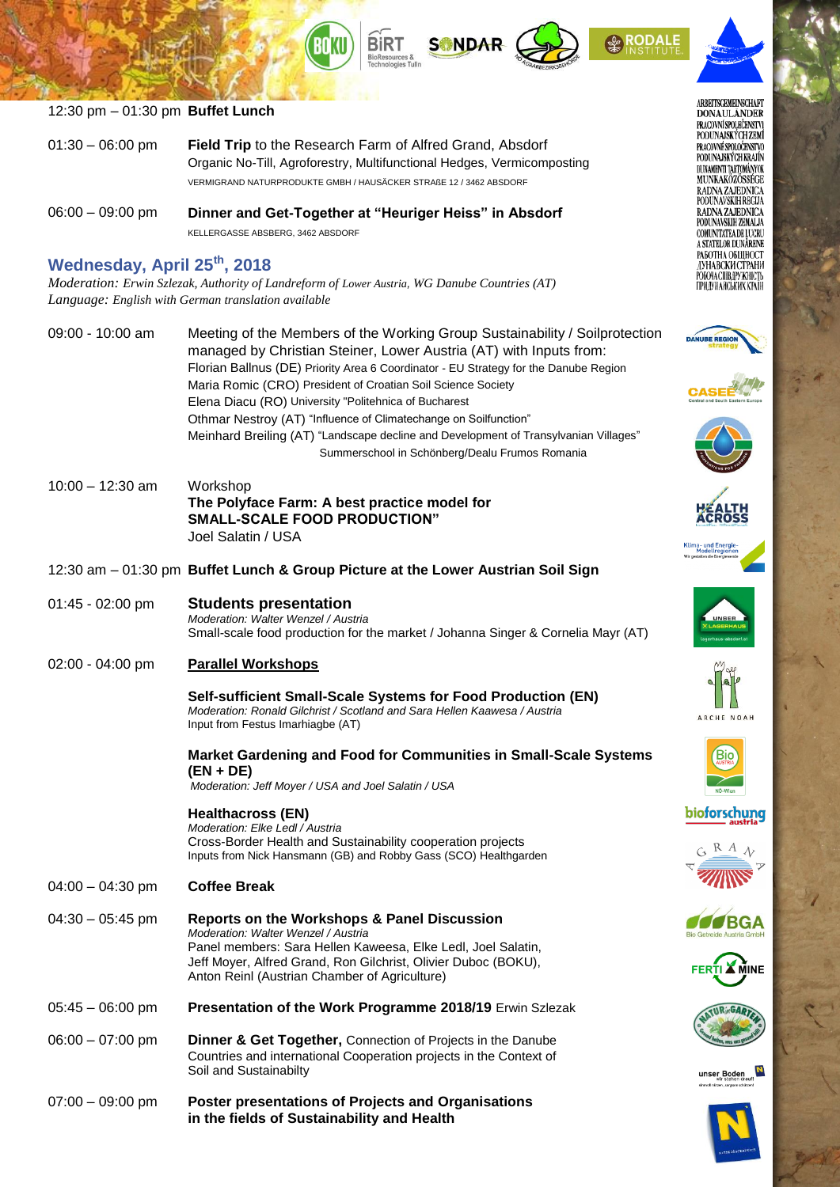





ARBEITSGEMEINSCHAFT **DONAULANDER**<br>PRACOVNÍ SPOLEČENSTVI PODUNAJSKÝCH ZEMÍ PRACOVNÉ SPOLOČENSTVO PODUNAJSKÝCH KRAJÍN DI INAMENTI TARTOMÁNYOK **MUNKAKÖZÖSSÉGE** RADNA ZAJEDNICA PODUNAVSKIH REGIJA RADNA ZAJEDNICA PODUNAVSKIH ZEMALJA COMUNITATEA DE LUCRU A STATELOR DUNARENE РАБОТНА ОБЩНОСТ ДУНАВСКИ СТРАНИ РОБОЧА СПІВДРУЖНІСТЬ<br>ПРИДУНАЙСЬКИХ КРАЇН



























unser Boden



### 12:30 pm – 01:30 pm **Buffet Lunch**

**DRY** 

|                    | VERMIGRAND NATURPRODUKTE GMBH / HAUSÄCKER STRAßE 12 / 3462 ABSDORF                                                                        |
|--------------------|-------------------------------------------------------------------------------------------------------------------------------------------|
|                    |                                                                                                                                           |
| $01:30 - 06:00$ pm | <b>Field Trip</b> to the Research Farm of Alfred Grand, Absdorf<br>Organic No-Till, Agroforestry, Multifunctional Hedges, Vermicomposting |

KELLERGASSE ABSBERG, 3462 ABSDORF

## **Wednesday, April 25th, 2018**

*Moderation: Erwin Szlezak, Authority of Landreform of Lower Austria, WG Danube Countries (AT) Language: English with German translation available*

| $09:00 - 10:00$ am | Meeting of the Members of the Working Group Sustainability / Soilprotection<br>managed by Christian Steiner, Lower Austria (AT) with Inputs from: |
|--------------------|---------------------------------------------------------------------------------------------------------------------------------------------------|
|                    | Florian Ballnus (DE) Priority Area 6 Coordinator - EU Strategy for the Danube Region                                                              |
|                    | Maria Romic (CRO) President of Croatian Soil Science Society                                                                                      |
|                    | Elena Diacu (RO) University "Politehnica of Bucharest                                                                                             |
|                    | Othmar Nestroy (AT) "Influence of Climatechange on Soilfunction"                                                                                  |
|                    | Meinhard Breiling (AT) "Landscape decline and Development of Transylvanian Villages"                                                              |
|                    | Summerschool in Schönberg/Dealu Frumos Romania                                                                                                    |
|                    |                                                                                                                                                   |

- 10:00 12:30 am Workshop **The Polyface Farm: A best practice model for SMALL-SCALE FOOD PRODUCTION"** Joel Salatin / USA
- 12:30 am 01:30 pm **Buffet Lunch & Group Picture at the Lower Austrian Soil Sign**
- 01:45 02:00 pm **Students presentation** *Moderation: Walter Wenzel / Austria* Small-scale food production for the market / Johanna Singer & Cornelia Mayr (AT)

### 02:00 - 04:00 pm **Parallel Workshops**

**Self-sufficient Small-Scale Systems for Food Production (EN)** *Moderation: Ronald Gilchrist / Scotland and Sara Hellen Kaawesa / Austria* Input from Festus Imarhiagbe (AT)

**Market Gardening and Food for Communities in Small-Scale Systems (EN + DE)** *Moderation: Jeff Moyer / USA and Joel Salatin / USA*

**Healthacross (EN)**

*Moderation: Elke Ledl / Austria*  Cross-Border Health and Sustainability cooperation projects Inputs from Nick Hansmann (GB) and Robby Gass (SCO) Healthgarden

- 04:00 04:30 pm **Coffee Break**
- 04:30 05:45 pm **Reports on the Workshops & Panel Discussion** *Moderation: Walter Wenzel / Austria* Panel members: Sara Hellen Kaweesa, Elke Ledl, Joel Salatin, Jeff Moyer, Alfred Grand, Ron Gilchrist, Olivier Duboc (BOKU), Anton Reinl (Austrian Chamber of Agriculture)
- 05:45 06:00 pm **Presentation of the Work Programme 2018/19** Erwin Szlezak
- 06:00 07:00 pm **Dinner & Get Together,** Connection of Projects in the Danube Countries and international Cooperation projects in the Context of Soil and Sustainabilty
- 07:00 09:00 pm **Poster presentations of Projects and Organisations in the fields of Sustainability and Health**